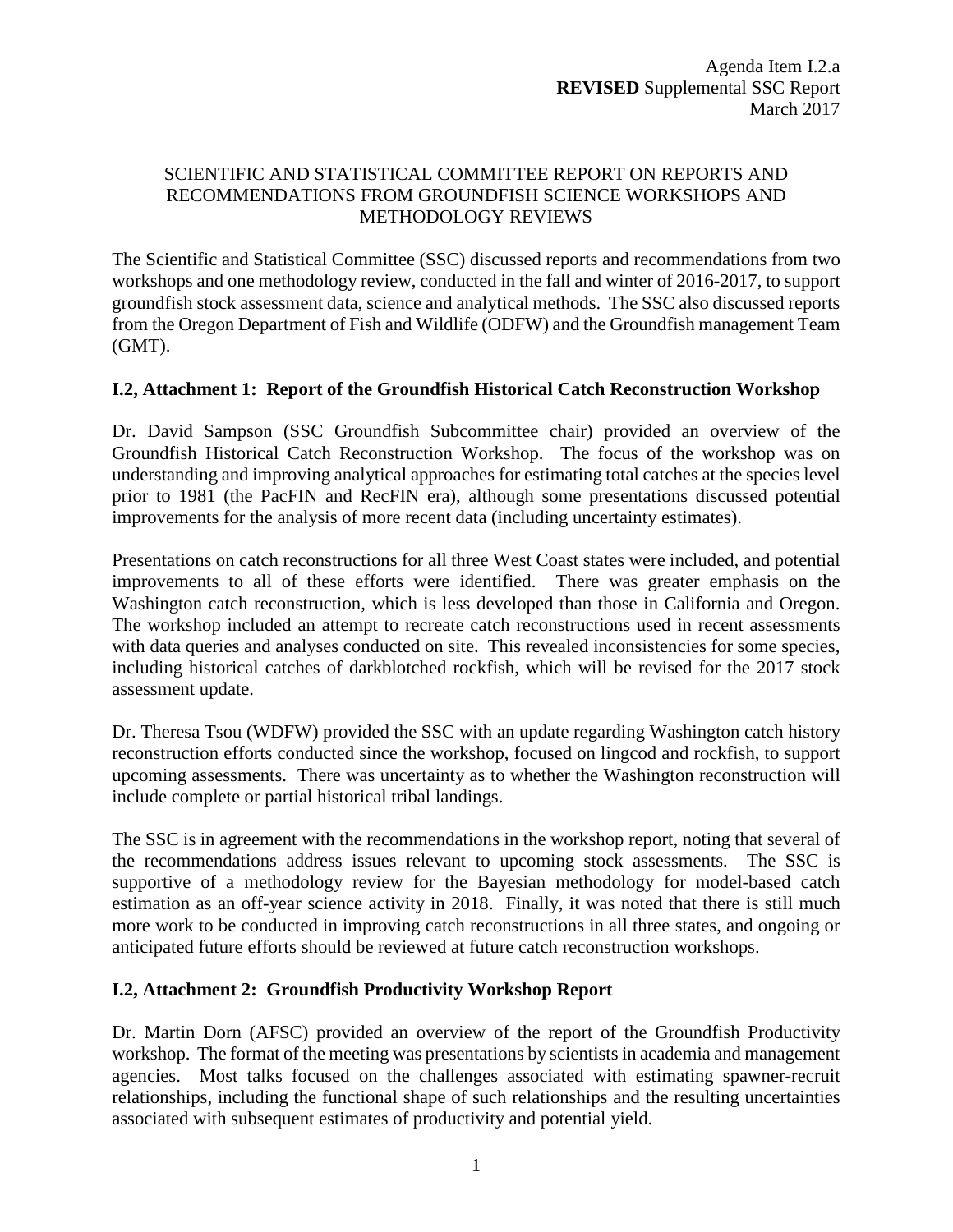#### SCIENTIFIC AND STATISTICAL COMMITTEE REPORT ON REPORTS AND RECOMMENDATIONS FROM GROUNDFISH SCIENCE WORKSHOPS AND METHODOLOGY REVIEWS

The Scientific and Statistical Committee (SSC) discussed reports and recommendations from two workshops and one methodology review, conducted in the fall and winter of 2016-2017, to support groundfish stock assessment data, science and analytical methods. The SSC also discussed reports from the Oregon Department of Fish and Wildlife (ODFW) and the Groundfish management Team (GMT).

## **I.2, Attachment 1: Report of the Groundfish Historical Catch Reconstruction Workshop**

Dr. David Sampson (SSC Groundfish Subcommittee chair) provided an overview of the Groundfish Historical Catch Reconstruction Workshop. The focus of the workshop was on understanding and improving analytical approaches for estimating total catches at the species level prior to 1981 (the PacFIN and RecFIN era), although some presentations discussed potential improvements for the analysis of more recent data (including uncertainty estimates).

Presentations on catch reconstructions for all three West Coast states were included, and potential improvements to all of these efforts were identified. There was greater emphasis on the Washington catch reconstruction, which is less developed than those in California and Oregon. The workshop included an attempt to recreate catch reconstructions used in recent assessments with data queries and analyses conducted on site. This revealed inconsistencies for some species, including historical catches of darkblotched rockfish, which will be revised for the 2017 stock assessment update.

Dr. Theresa Tsou (WDFW) provided the SSC with an update regarding Washington catch history reconstruction efforts conducted since the workshop, focused on lingcod and rockfish, to support upcoming assessments. There was uncertainty as to whether the Washington reconstruction will include complete or partial historical tribal landings.

The SSC is in agreement with the recommendations in the workshop report, noting that several of the recommendations address issues relevant to upcoming stock assessments. The SSC is supportive of a methodology review for the Bayesian methodology for model-based catch estimation as an off-year science activity in 2018. Finally, it was noted that there is still much more work to be conducted in improving catch reconstructions in all three states, and ongoing or anticipated future efforts should be reviewed at future catch reconstruction workshops.

## **I.2, Attachment 2: Groundfish Productivity Workshop Report**

Dr. Martin Dorn (AFSC) provided an overview of the report of the Groundfish Productivity workshop. The format of the meeting was presentations by scientists in academia and management agencies. Most talks focused on the challenges associated with estimating spawner-recruit relationships, including the functional shape of such relationships and the resulting uncertainties associated with subsequent estimates of productivity and potential yield.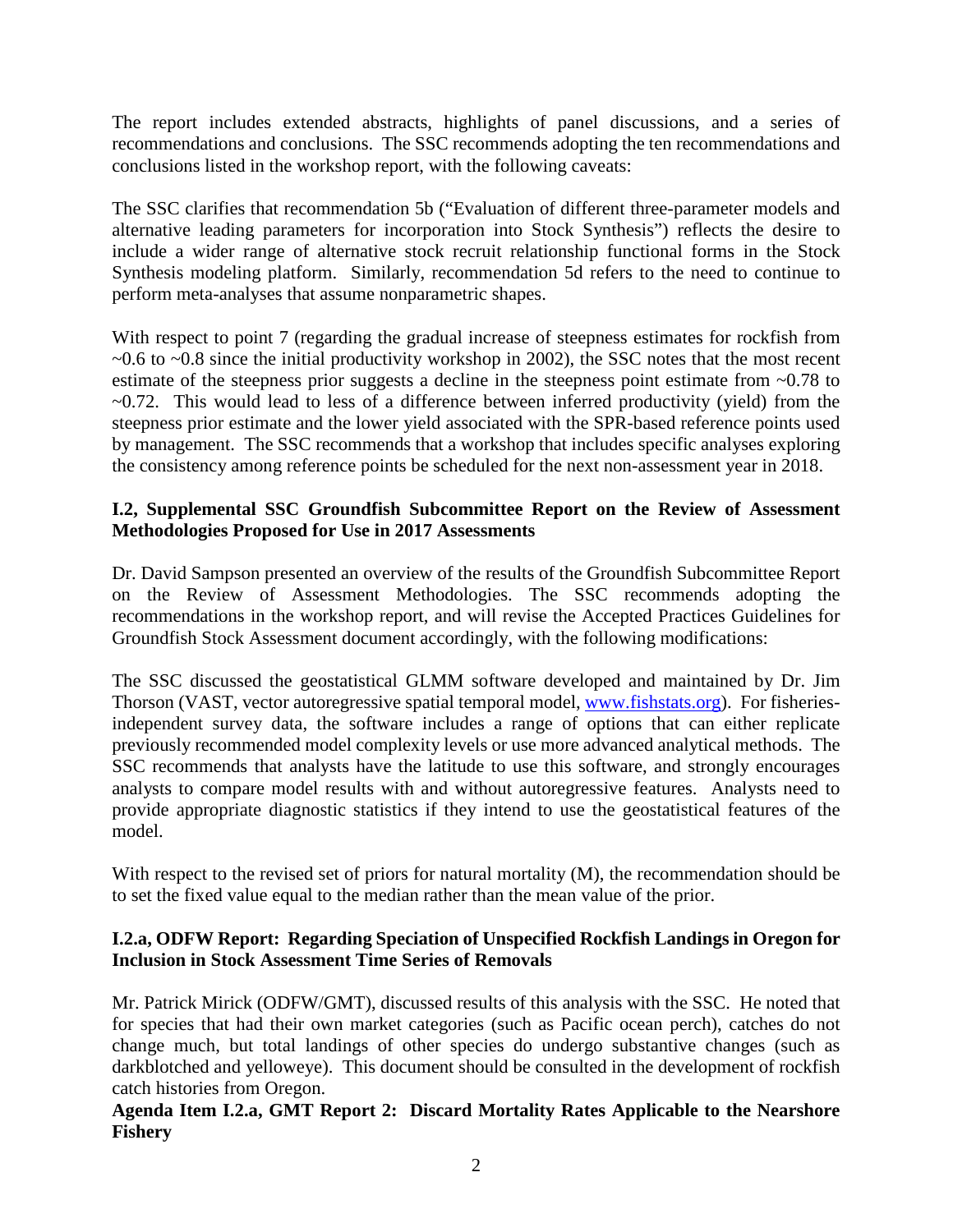The report includes extended abstracts, highlights of panel discussions, and a series of recommendations and conclusions. The SSC recommends adopting the ten recommendations and conclusions listed in the workshop report, with the following caveats:

The SSC clarifies that recommendation 5b ("Evaluation of different three-parameter models and alternative leading parameters for incorporation into Stock Synthesis") reflects the desire to include a wider range of alternative stock recruit relationship functional forms in the Stock Synthesis modeling platform. Similarly, recommendation 5d refers to the need to continue to perform meta-analyses that assume nonparametric shapes.

With respect to point 7 (regarding the gradual increase of steepness estimates for rockfish from  $\sim$ 0.6 to  $\sim$ 0.8 since the initial productivity workshop in 2002), the SSC notes that the most recent estimate of the steepness prior suggests a decline in the steepness point estimate from ~0.78 to  $\sim$ 0.72. This would lead to less of a difference between inferred productivity (yield) from the steepness prior estimate and the lower yield associated with the SPR-based reference points used by management. The SSC recommends that a workshop that includes specific analyses exploring the consistency among reference points be scheduled for the next non-assessment year in 2018.

## **I.2, Supplemental SSC Groundfish Subcommittee Report on the Review of Assessment Methodologies Proposed for Use in 2017 Assessments**

Dr. David Sampson presented an overview of the results of the Groundfish Subcommittee Report on the Review of Assessment Methodologies. The SSC recommends adopting the recommendations in the workshop report, and will revise the Accepted Practices Guidelines for Groundfish Stock Assessment document accordingly, with the following modifications:

The SSC discussed the geostatistical GLMM software developed and maintained by Dr. Jim Thorson (VAST, vector autoregressive spatial temporal model, [www.fishstats.org\)](http://www.fishstats.org/). For fisheriesindependent survey data, the software includes a range of options that can either replicate previously recommended model complexity levels or use more advanced analytical methods. The SSC recommends that analysts have the latitude to use this software, and strongly encourages analysts to compare model results with and without autoregressive features. Analysts need to provide appropriate diagnostic statistics if they intend to use the geostatistical features of the model.

With respect to the revised set of priors for natural mortality  $(M)$ , the recommendation should be to set the fixed value equal to the median rather than the mean value of the prior.

## **I.2.a, ODFW Report: Regarding Speciation of Unspecified Rockfish Landings in Oregon for Inclusion in Stock Assessment Time Series of Removals**

Mr. Patrick Mirick (ODFW/GMT), discussed results of this analysis with the SSC. He noted that for species that had their own market categories (such as Pacific ocean perch), catches do not change much, but total landings of other species do undergo substantive changes (such as darkblotched and yelloweye). This document should be consulted in the development of rockfish catch histories from Oregon.

# **Agenda Item I.2.a, GMT Report 2: Discard Mortality Rates Applicable to the Nearshore Fishery**